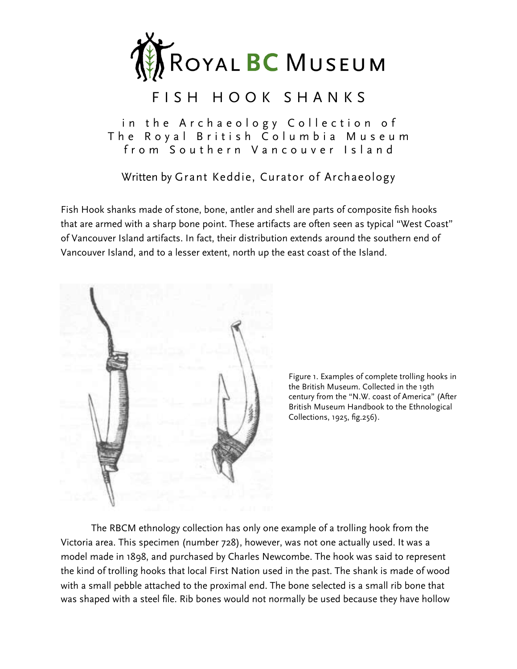

# FISH HOOK SHANKS

in the Archaeology Collection of The Royal British Columbia Museum from Southern Vancouver Island

Written by Grant Keddie, Curator of Archaeology

Fish Hook shanks made of stone, bone, antler and shell are parts of composite fish hooks that are armed with a sharp bone point. These artifacts are often seen as typical "West Coast" of Vancouver Island artifacts. In fact, their distribution extends around the southern end of Vancouver Island, and to a lesser extent, north up the east coast of the Island.



Figure 1. Examples of complete trolling hooks in the British Museum. Collected in the 19th century from the "N.W. coast of America" (After British Museum Handbook to the Ethnological Collections, 1925, fig.256).

 The RBCM ethnology collection has only one example of a trolling hook from the Victoria area. This specimen (number 728), however, was not one actually used. It was a model made in 1898, and purchased by Charles Newcombe. The hook was said to represent the kind of trolling hooks that local First Nation used in the past. The shank is made of wood with a small pebble attached to the proximal end. The bone selected is a small rib bone that was shaped with a steel file. Rib bones would not normally be used because they have hollow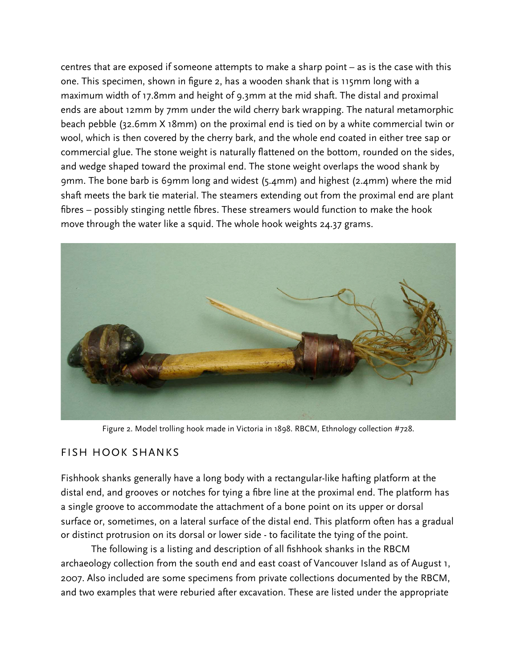centres that are exposed if someone attempts to make a sharp point – as is the case with this one. This specimen, shown in figure 2, has a wooden shank that is 115mm long with a maximum width of 17.8mm and height of 9.3mm at the mid shaft. The distal and proximal ends are about 12mm by 7mm under the wild cherry bark wrapping. The natural metamorphic beach pebble (32.6mm X 18mm) on the proximal end is tied on by a white commercial twin or wool, which is then covered by the cherry bark, and the whole end coated in either tree sap or commercial glue. The stone weight is naturally flattened on the bottom, rounded on the sides, and wedge shaped toward the proximal end. The stone weight overlaps the wood shank by 9mm. The bone barb is 69mm long and widest (5.4mm) and highest (2.4mm) where the mid shaft meets the bark tie material. The steamers extending out from the proximal end are plant fibres – possibly stinging nettle fibres. These streamers would function to make the hook move through the water like a squid. The whole hook weights 24.37 grams.



Figure 2. Model trolling hook made in Victoria in 1898. RBCM, Ethnology collection #728.

#### FISH HOOK SHANKS

Fishhook shanks generally have a long body with a rectangular-like hafting platform at the distal end, and grooves or notches for tying a fibre line at the proximal end. The platform has a single groove to accommodate the attachment of a bone point on its upper or dorsal surface or, sometimes, on a lateral surface of the distal end. This platform often has a gradual or distinct protrusion on its dorsal or lower side - to facilitate the tying of the point.

 The following is a listing and description of all fishhook shanks in the RBCM archaeology collection from the south end and east coast of Vancouver Island as of August 1, 2007. Also included are some specimens from private collections documented by the RBCM, and two examples that were reburied after excavation. These are listed under the appropriate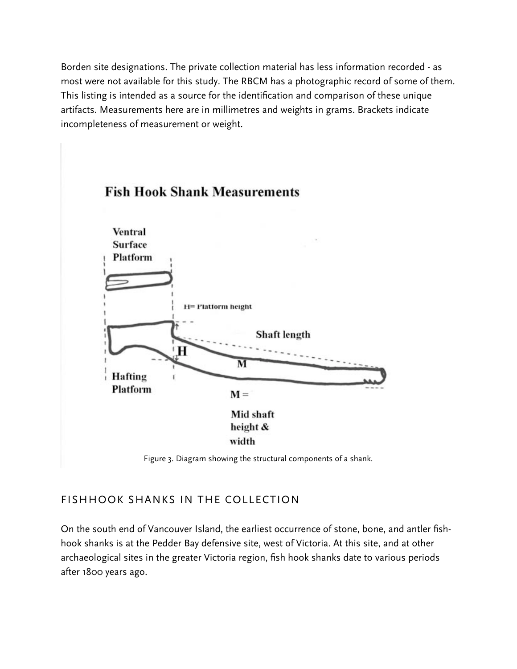Borden site designations. The private collection material has less information recorded - as most were not available for this study. The RBCM has a photographic record of some of them. This listing is intended as a source for the identification and comparison of these unique artifacts. Measurements here are in millimetres and weights in grams. Brackets indicate incompleteness of measurement or weight.



## FISHHOOK SHANKS IN THE COLLECTION

On the south end of Vancouver Island, the earliest occurrence of stone, bone, and antler fishhook shanks is at the Pedder Bay defensive site, west of Victoria. At this site, and at other archaeological sites in the greater Victoria region, fish hook shanks date to various periods after 1800 years ago.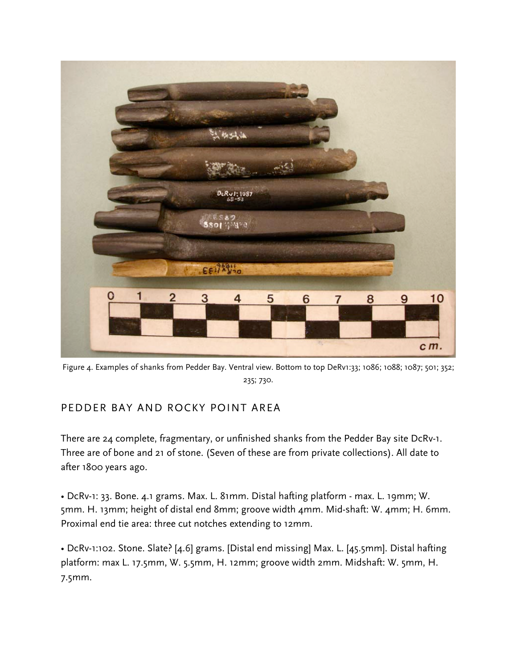

Figure 4. Examples of shanks from Pedder Bay. Ventral view. Bottom to top DeRv1:33; 1086; 1088; 1087; 501; 352; 235; 730.

## PEDDER BAY AND ROCKY POINT AREA

There are 24 complete, fragmentary, or unfinished shanks from the Pedder Bay site DcRv-1. Three are of bone and 21 of stone. (Seven of these are from private collections). All date to after 1800 years ago.

• DcRv-1: 33. Bone. 4.1 grams. Max. L. 81mm. Distal hafting platform - max. L. 19mm; W. 5mm. H. 13mm; height of distal end 8mm; groove width 4mm. Mid-shaft: W. 4mm; H. 6mm. Proximal end tie area: three cut notches extending to 12mm.

• DcRv-1:102. Stone. Slate? [4.6] grams. [Distal end missing] Max. L. [45.5mm]. Distal hafting platform: max L. 17.5mm, W. 5.5mm, H. 12mm; groove width 2mm. Midshaft: W. 5mm, H. 7.5mm.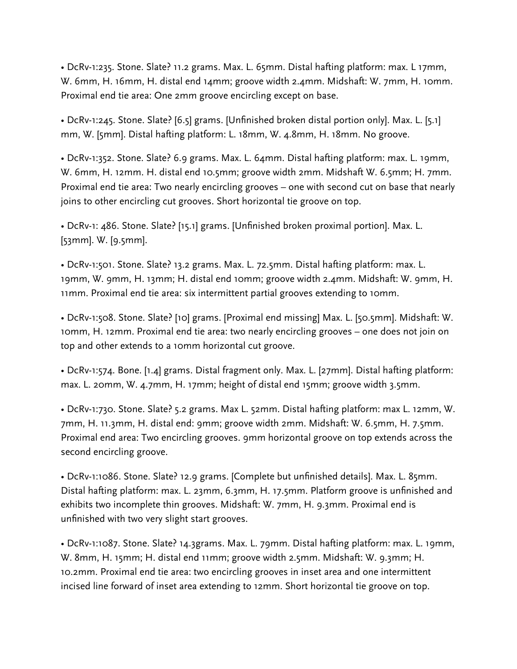• DcRv-1:235. Stone. Slate? 11.2 grams. Max. L. 65mm. Distal hafting platform: max. L 17mm, W. 6mm, H. 16mm, H. distal end 14mm; groove width 2.4mm. Midshaft: W. 7mm, H. 10mm. Proximal end tie area: One 2mm groove encircling except on base.

• DcRv-1:245. Stone. Slate? [6.5] grams. [Unfinished broken distal portion only]. Max. L. [5.1] mm, W. [5mm]. Distal hafting platform: L. 18mm, W. 4.8mm, H. 18mm. No groove.

• DcRv-1:352. Stone. Slate? 6.9 grams. Max. L. 64mm. Distal hafting platform: max. L. 19mm, W. 6mm, H. 12mm. H. distal end 10.5mm; groove width 2mm. Midshaft W. 6.5mm; H. 7mm. Proximal end tie area: Two nearly encircling grooves – one with second cut on base that nearly joins to other encircling cut grooves. Short horizontal tie groove on top.

• DcRv-1: 486. Stone. Slate? [15.1] grams. [Unfinished broken proximal portion]. Max. L. [53mm]. W. [9.5mm].

• DcRv-1:501. Stone. Slate? 13.2 grams. Max. L. 72.5mm. Distal hafting platform: max. L. 19mm, W. 9mm, H. 13mm; H. distal end 10mm; groove width 2.4mm. Midshaft: W. 9mm, H. 11mm. Proximal end tie area: six intermittent partial grooves extending to 10mm.

• DcRv-1:508. Stone. Slate? [10] grams. [Proximal end missing] Max. L. [50.5mm]. Midshaft: W. 10mm, H. 12mm. Proximal end tie area: two nearly encircling grooves – one does not join on top and other extends to a 10mm horizontal cut groove.

• DcRv-1:574. Bone. [1.4] grams. Distal fragment only. Max. L. [27mm]. Distal hafting platform: max. L. 20mm, W. 4.7mm, H. 17mm; height of distal end 15mm; groove width 3.5mm.

• DcRv-1:730. Stone. Slate? 5.2 grams. Max L. 52mm. Distal hafting platform: max L. 12mm, W. 7mm, H. 11.3mm, H. distal end: 9mm; groove width 2mm. Midshaft: W. 6.5mm, H. 7.5mm. Proximal end area: Two encircling grooves. 9mm horizontal groove on top extends across the second encircling groove.

• DcRv-1:1086. Stone. Slate? 12.9 grams. [Complete but unfinished details]. Max. L. 85mm. Distal hafting platform: max. L. 23mm, 6.3mm, H. 17.5mm. Platform groove is unfinished and exhibits two incomplete thin grooves. Midshaft: W. 7mm, H. 9.3mm. Proximal end is unfinished with two very slight start grooves.

• DcRv-1:1087. Stone. Slate? 14.3grams. Max. L. 79mm. Distal hafting platform: max. L. 19mm, W. 8mm, H. 15mm; H. distal end 11mm; groove width 2.5mm. Midshaft: W. 9.3mm; H. 10.2mm. Proximal end tie area: two encircling grooves in inset area and one intermittent incised line forward of inset area extending to 12mm. Short horizontal tie groove on top.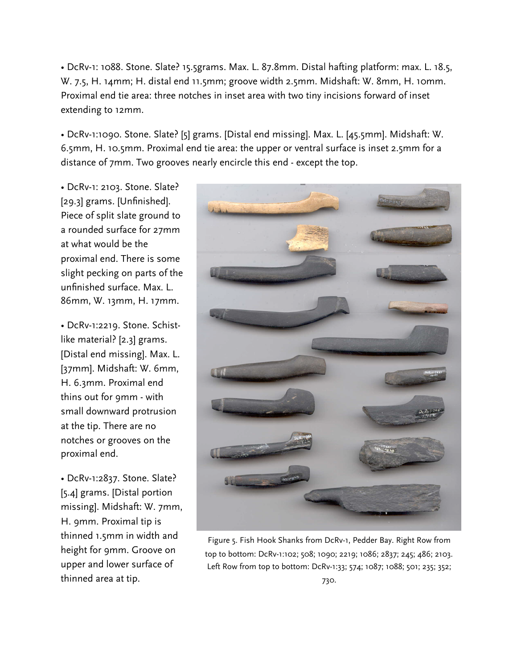• DcRv-1: 1088. Stone. Slate? 15.5grams. Max. L. 87.8mm. Distal hafting platform: max. L. 18.5, W. 7.5, H. 14mm; H. distal end 11.5mm; groove width 2.5mm. Midshaft: W. 8mm, H. 10mm. Proximal end tie area: three notches in inset area with two tiny incisions forward of inset extending to 12mm.

• DcRv-1:1090. Stone. Slate? [5] grams. [Distal end missing]. Max. L. [45.5mm]. Midshaft: W. 6.5mm, H. 10.5mm. Proximal end tie area: the upper or ventral surface is inset 2.5mm for a distance of 7mm. Two grooves nearly encircle this end - except the top.

• DcRv-1: 2103. Stone. Slate? [29.3] grams. [Unfinished]. Piece of split slate ground to a rounded surface for 27mm at what would be the proximal end. There is some slight pecking on parts of the unfinished surface. Max. L. 86mm, W. 13mm, H. 17mm.

• DcRv-1:2219. Stone. Schistlike material? [2.3] grams. [Distal end missing]. Max. L. [37mm]. Midshaft: W. 6mm, H. 6.3mm. Proximal end thins out for 9mm - with small downward protrusion at the tip. There are no notches or grooves on the proximal end.

• DcRv-1:2837. Stone. Slate? [5.4] grams. [Distal portion missing]. Midshaft: W. 7mm, H. 9mm. Proximal tip is thinned 1.5mm in width and height for 9mm. Groove on upper and lower surface of thinned area at tip.



Figure 5. Fish Hook Shanks from DcRv-1, Pedder Bay. Right Row from top to bottom: DcRv-1:102; 508; 1090; 2219; 1086; 2837; 245; 486; 2103. Left Row from top to bottom: DcRv-1:33; 574; 1087; 1088; 501; 235; 352; 730.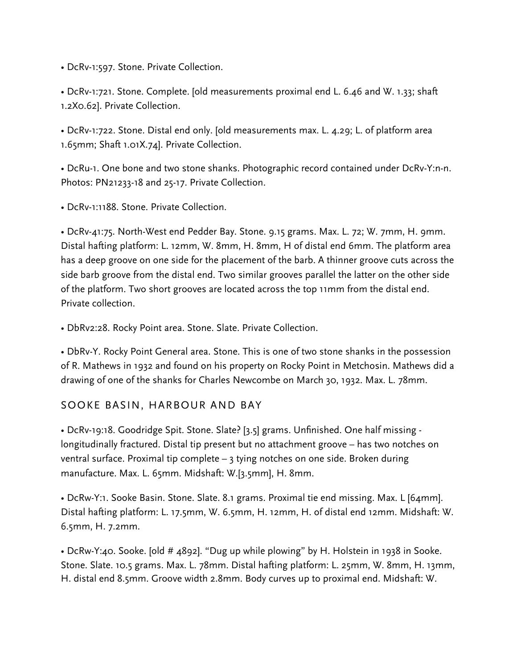• DcRv-1:597. Stone. Private Collection.

• DcRv-1:721. Stone. Complete. [old measurements proximal end L. 6.46 and W. 1.33; shaft 1.2X0.62]. Private Collection.

• DcRv-1:722. Stone. Distal end only. [old measurements max. L. 4.29; L. of platform area 1.65mm; Shaft 1.01X.74]. Private Collection.

• DcRu-1. One bone and two stone shanks. Photographic record contained under DcRv-Y:n-n. Photos: PN21233-18 and 25-17. Private Collection.

• DcRv-1:1188. Stone. Private Collection.

• DcRv-41:75. North-West end Pedder Bay. Stone. 9.15 grams. Max. L. 72; W. 7mm, H. 9mm. Distal hafting platform: L. 12mm, W. 8mm, H. 8mm, H of distal end 6mm. The platform area has a deep groove on one side for the placement of the barb. A thinner groove cuts across the side barb groove from the distal end. Two similar grooves parallel the latter on the other side of the platform. Two short grooves are located across the top 11mm from the distal end. Private collection.

• DbRv2:28. Rocky Point area. Stone. Slate. Private Collection.

• DbRv-Y. Rocky Point General area. Stone. This is one of two stone shanks in the possession of R. Mathews in 1932 and found on his property on Rocky Point in Metchosin. Mathews did a drawing of one of the shanks for Charles Newcombe on March 30, 1932. Max. L. 78mm.

#### SOOKE BASIN, HARBOUR AND BAY

• DcRv-19:18. Goodridge Spit. Stone. Slate? [3.5] grams. Unfinished. One half missing longitudinally fractured. Distal tip present but no attachment groove – has two notches on ventral surface. Proximal tip complete – 3 tying notches on one side. Broken during manufacture. Max. L. 65mm. Midshaft: W.[3.5mm], H. 8mm.

• DcRw-Y:1. Sooke Basin. Stone. Slate. 8.1 grams. Proximal tie end missing. Max. L [64mm]. Distal hafting platform: L. 17.5mm, W. 6.5mm, H. 12mm, H. of distal end 12mm. Midshaft: W. 6.5mm, H. 7.2mm.

• DcRw-Y:40. Sooke. [old # 4892]. "Dug up while plowing" by H. Holstein in 1938 in Sooke. Stone. Slate. 10.5 grams. Max. L. 78mm. Distal hafting platform: L. 25mm, W. 8mm, H. 13mm, H. distal end 8.5mm. Groove width 2.8mm. Body curves up to proximal end. Midshaft: W.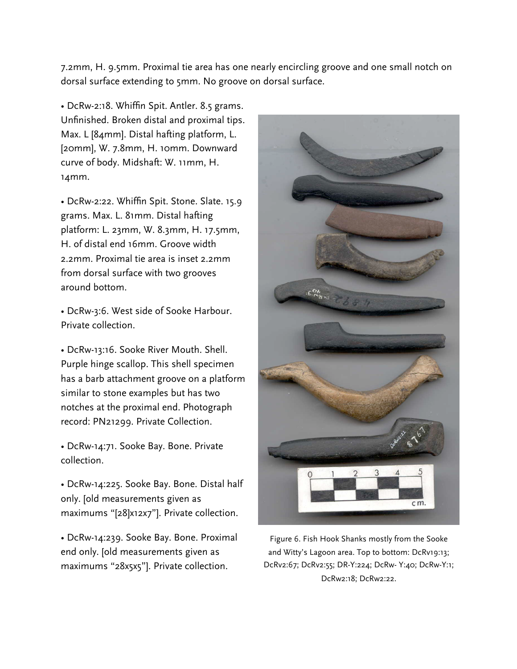7.2mm, H. 9.5mm. Proximal tie area has one nearly encircling groove and one small notch on dorsal surface extending to 5mm. No groove on dorsal surface.

• DcRw-2:18. Whiffin Spit. Antler. 8.5 grams. Unfinished. Broken distal and proximal tips. Max. L [84mm]. Distal hafting platform, L. [20mm], W. 7.8mm, H. 10mm. Downward curve of body. Midshaft: W. 11mm, H. 14mm.

• DcRw-2:22. Whiffin Spit. Stone. Slate. 15.9 grams. Max. L. 81mm. Distal hafting platform: L. 23mm, W. 8.3mm, H. 17.5mm, H. of distal end 16mm. Groove width 2.2mm. Proximal tie area is inset 2.2mm from dorsal surface with two grooves around bottom.

• DcRw-3:6. West side of Sooke Harbour. Private collection.

• DcRw-13:16. Sooke River Mouth. Shell. Purple hinge scallop. This shell specimen has a barb attachment groove on a platform similar to stone examples but has two notches at the proximal end. Photograph record: PN21299. Private Collection.

• DcRw-14:71. Sooke Bay. Bone. Private collection.

• DcRw-14:225. Sooke Bay. Bone. Distal half only. [old measurements given as maximums "[28]x12x7"]. Private collection.

• DcRw-14:239. Sooke Bay. Bone. Proximal end only. [old measurements given as maximums "28x5x5"]. Private collection.



Figure 6. Fish Hook Shanks mostly from the Sooke and Witty's Lagoon area. Top to bottom: DcRv19:13; DcRv2:67; DcRv2:55; DR-Y:224; DcRw- Y:40; DcRw-Y:1; DcRw2:18; DcRw2:22.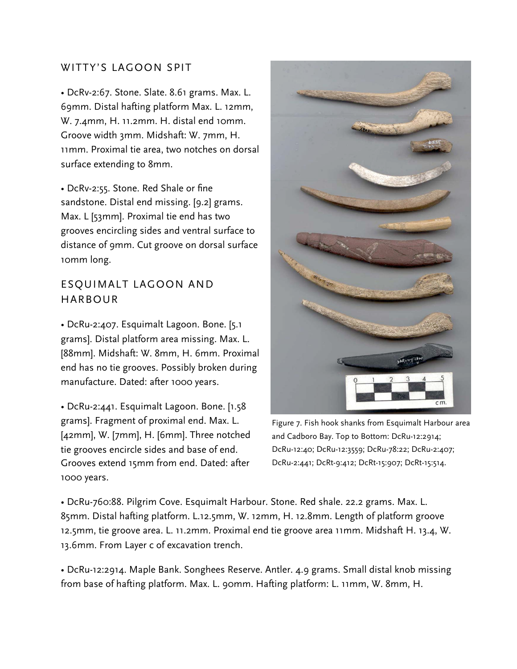#### WITTY'S LAGOON SPIT

• DcRv-2:67. Stone. Slate. 8.61 grams. Max. L. 69mm. Distal hafting platform Max. L. 12mm, W. 7.4mm, H. 11.2mm. H. distal end 10mm. Groove width 3mm. Midshaft: W. 7mm, H. 11mm. Proximal tie area, two notches on dorsal surface extending to 8mm.

• DcRv-2:55. Stone. Red Shale or fine sandstone. Distal end missing. [9.2] grams. Max. L [53mm]. Proximal tie end has two grooves encircling sides and ventral surface to distance of 9mm. Cut groove on dorsal surface 10mm long.

## ESQUIMALT LAGOON AND HARBOUR

• DcRu-2:407. Esquimalt Lagoon. Bone. [5.1 grams]. Distal platform area missing. Max. L. [88mm]. Midshaft: W. 8mm, H. 6mm. Proximal end has no tie grooves. Possibly broken during manufacture. Dated: after 1000 years.

• DcRu-2:441. Esquimalt Lagoon. Bone. [1.58 grams]. Fragment of proximal end. Max. L. [42mm], W. [7mm], H. [6mm]. Three notched tie grooves encircle sides and base of end. Grooves extend 15mm from end. Dated: after 1000 years.



Figure 7. Fish hook shanks from Esquimalt Harbour area and Cadboro Bay. Top to Bottom: DcRu-12:2914; DcRu-12:40; DcRu-12:3559; DcRu-78:22; DcRu-2:407; DcRu-2:441; DcRt-9:412; DcRt-15:907; DcRt-15:514.

• DcRu-760:88. Pilgrim Cove. Esquimalt Harbour. Stone. Red shale. 22.2 grams. Max. L. 85mm. Distal hafting platform. L.12.5mm, W. 12mm, H. 12.8mm. Length of platform groove 12.5mm, tie groove area. L. 11.2mm. Proximal end tie groove area 11mm. Midshaft H. 13.4, W. 13.6mm. From Layer c of excavation trench.

• DcRu-12:2914. Maple Bank. Songhees Reserve. Antler. 4.9 grams. Small distal knob missing from base of hafting platform. Max. L. 90mm. Hafting platform: L. 11mm, W. 8mm, H.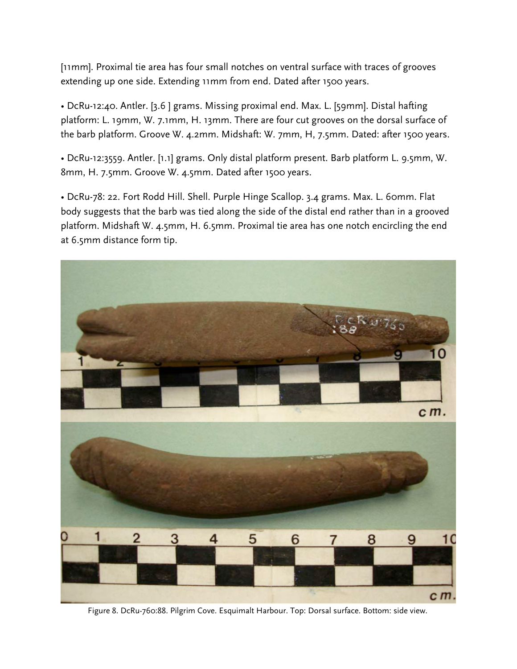[11mm]. Proximal tie area has four small notches on ventral surface with traces of grooves extending up one side. Extending 11mm from end. Dated after 1500 years.

• DcRu-12:40. Antler. [3.6 ] grams. Missing proximal end. Max. L. [59mm]. Distal hafting platform: L. 19mm, W. 7.1mm, H. 13mm. There are four cut grooves on the dorsal surface of the barb platform. Groove W. 4.2mm. Midshaft: W. 7mm, H, 7.5mm. Dated: after 1500 years.

• DcRu-12:3559. Antler. [1.1] grams. Only distal platform present. Barb platform L. 9.5mm, W. 8mm, H. 7.5mm. Groove W. 4.5mm. Dated after 1500 years.

• DcRu-78: 22. Fort Rodd Hill. Shell. Purple Hinge Scallop. 3.4 grams. Max. L. 60mm. Flat body suggests that the barb was tied along the side of the distal end rather than in a grooved platform. Midshaft W. 4.5mm, H. 6.5mm. Proximal tie area has one notch encircling the end at 6.5mm distance form tip.



Figure 8. DcRu-760:88. Pilgrim Cove. Esquimalt Harbour. Top: Dorsal surface. Bottom: side view.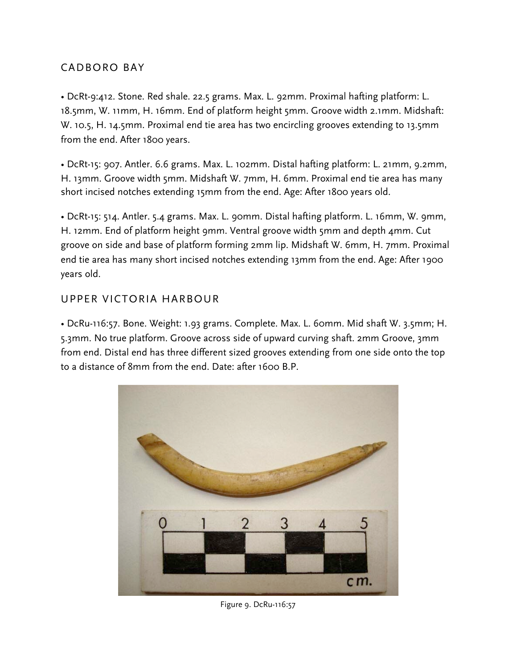## CADBORO BAY

• DcRt-9:412. Stone. Red shale. 22.5 grams. Max. L. 92mm. Proximal hafting platform: L. 18.5mm, W. 11mm, H. 16mm. End of platform height 5mm. Groove width 2.1mm. Midshaft: W. 10.5, H. 14.5mm. Proximal end tie area has two encircling grooves extending to 13.5mm from the end. After 1800 years.

• DcRt-15: 907. Antler. 6.6 grams. Max. L. 102mm. Distal hafting platform: L. 21mm, 9.2mm, H. 13mm. Groove width 5mm. Midshaft W. 7mm, H. 6mm. Proximal end tie area has many short incised notches extending 15mm from the end. Age: After 1800 years old.

• DcRt-15: 514. Antler. 5.4 grams. Max. L. 90mm. Distal hafting platform. L. 16mm, W. 9mm, H. 12mm. End of platform height 9mm. Ventral groove width 5mm and depth 4mm. Cut groove on side and base of platform forming 2mm lip. Midshaft W. 6mm, H. 7mm. Proximal end tie area has many short incised notches extending 13mm from the end. Age: After 1900 years old.

## UPPER VICTORIA HARBOUR

• DcRu-116:57. Bone. Weight: 1.93 grams. Complete. Max. L. 60mm. Mid shaft W. 3.5mm; H. 5.3mm. No true platform. Groove across side of upward curving shaft. 2mm Groove, 3mm from end. Distal end has three different sized grooves extending from one side onto the top to a distance of 8mm from the end. Date: after 1600 B.P.



Figure 9. DcRu-116:57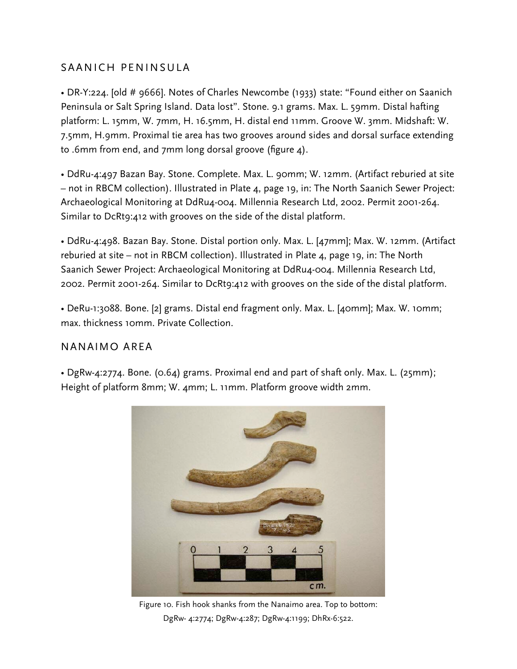### SAANICH PENINSULA

• DR-Y:224. [old # 9666]. Notes of Charles Newcombe (1933) state: "Found either on Saanich Peninsula or Salt Spring Island. Data lost". Stone. 9.1 grams. Max. L. 59mm. Distal hafting platform: L. 15mm, W. 7mm, H. 16.5mm, H. distal end 11mm. Groove W. 3mm. Midshaft: W. 7.5mm, H.9mm. Proximal tie area has two grooves around sides and dorsal surface extending to .6mm from end, and 7mm long dorsal groove (figure 4).

• DdRu-4:497 Bazan Bay. Stone. Complete. Max. L. 90mm; W. 12mm. (Artifact reburied at site – not in RBCM collection). Illustrated in Plate 4, page 19, in: The North Saanich Sewer Project: Archaeological Monitoring at DdRu4-004. Millennia Research Ltd, 2002. Permit 2001-264. Similar to DcRt9:412 with grooves on the side of the distal platform.

• DdRu-4:498. Bazan Bay. Stone. Distal portion only. Max. L. [47mm]; Max. W. 12mm. (Artifact reburied at site – not in RBCM collection). Illustrated in Plate 4, page 19, in: The North Saanich Sewer Project: Archaeological Monitoring at DdRu4-004. Millennia Research Ltd, 2002. Permit 2001-264. Similar to DcRt9:412 with grooves on the side of the distal platform.

• DeRu-1:3088. Bone. [2] grams. Distal end fragment only. Max. L. [40mm]; Max. W. 10mm; max. thickness 10mm. Private Collection.

#### NANAIMO AREA

• DgRw-4:2774. Bone. (0.64) grams. Proximal end and part of shaft only. Max. L. (25mm); Height of platform 8mm; W. 4mm; L. 11mm. Platform groove width 2mm.



Figure 10. Fish hook shanks from the Nanaimo area. Top to bottom: DgRw- 4:2774; DgRw-4:287; DgRw-4:1199; DhRx-6:522.